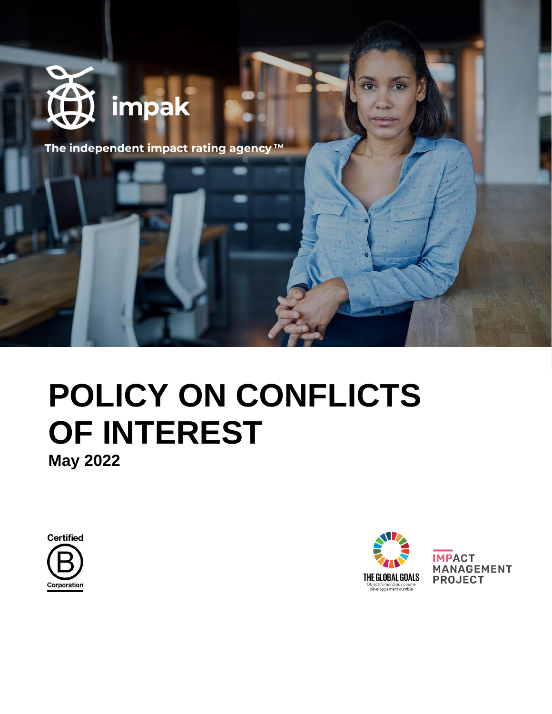

The independent impact rating agency™

# **POLICY ON CONFLICTS OF INTEREST May 2022**

**Certified** Corporation



**IMPACT MANAGEMENT PROJECT**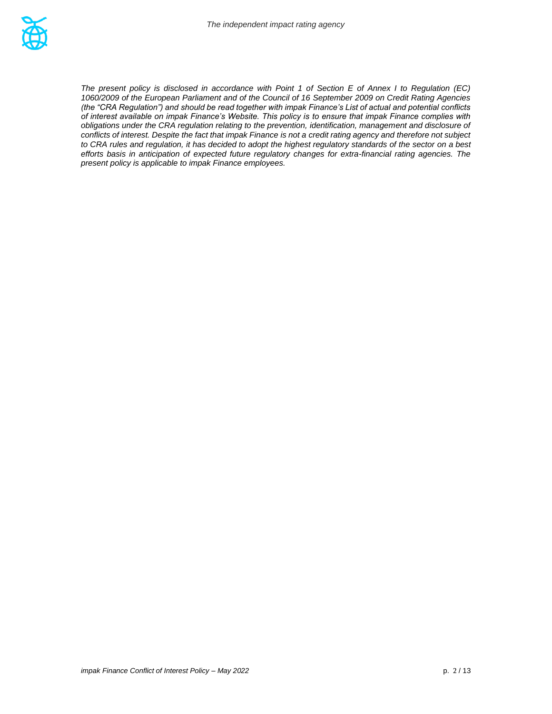*The present policy is disclosed in accordance with Point 1 of Section E of Annex I to Regulation (EC) 1060/2009 of the European Parliament and of the Council of 16 September 2009 on Credit Rating Agencies (the "CRA Regulation") and should be read together with impak Finance's List of actual and potential conflicts of interest available on impak Finance's Website. This policy is to ensure that impak Finance complies with obligations under the CRA regulation relating to the prevention, identification, management and disclosure of conflicts of interest. Despite the fact that impak Finance is not a credit rating agency and therefore not subject to CRA rules and regulation, it has decided to adopt the highest regulatory standards of the sector on a best efforts basis in anticipation of expected future regulatory changes for extra-financial rating agencies. The present policy is applicable to impak Finance employees.*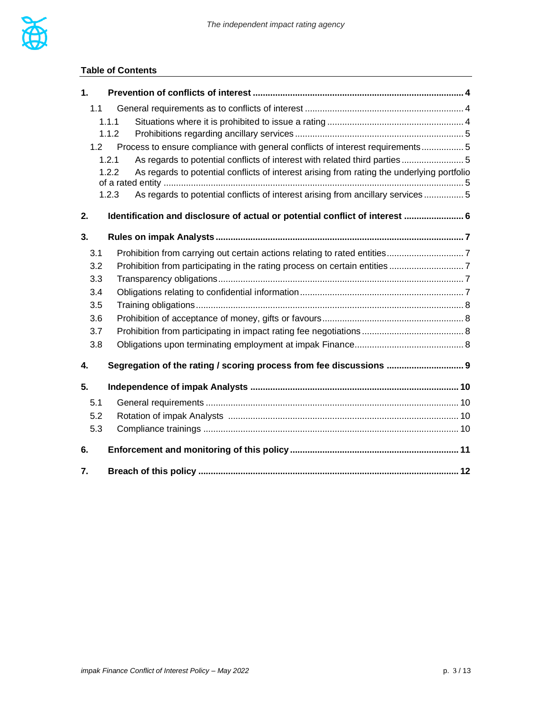

#### **Table of Contents**

| 1.  |                                                                                                     |  |
|-----|-----------------------------------------------------------------------------------------------------|--|
| 1.1 |                                                                                                     |  |
|     | 1.1.1                                                                                               |  |
|     | 1.1.2                                                                                               |  |
| 1.2 | Process to ensure compliance with general conflicts of interest requirements5                       |  |
|     | As regards to potential conflicts of interest with related third parties 5<br>1.2.1                 |  |
|     | As regards to potential conflicts of interest arising from rating the underlying portfolio<br>1.2.2 |  |
|     | As regards to potential conflicts of interest arising from ancillary services 5<br>1.2.3            |  |
| 2.  | Identification and disclosure of actual or potential conflict of interest  6                        |  |
| 3.  |                                                                                                     |  |
| 3.1 |                                                                                                     |  |
| 3.2 |                                                                                                     |  |
| 3.3 |                                                                                                     |  |
| 3.4 |                                                                                                     |  |
| 3.5 |                                                                                                     |  |
| 3.6 |                                                                                                     |  |
| 3.7 |                                                                                                     |  |
| 3.8 |                                                                                                     |  |
| 4.  | Segregation of the rating / scoring process from fee discussions  9                                 |  |
| 5.  |                                                                                                     |  |
| 5.1 |                                                                                                     |  |
| 5.2 |                                                                                                     |  |
| 5.3 |                                                                                                     |  |
| 6.  |                                                                                                     |  |
| 7.  |                                                                                                     |  |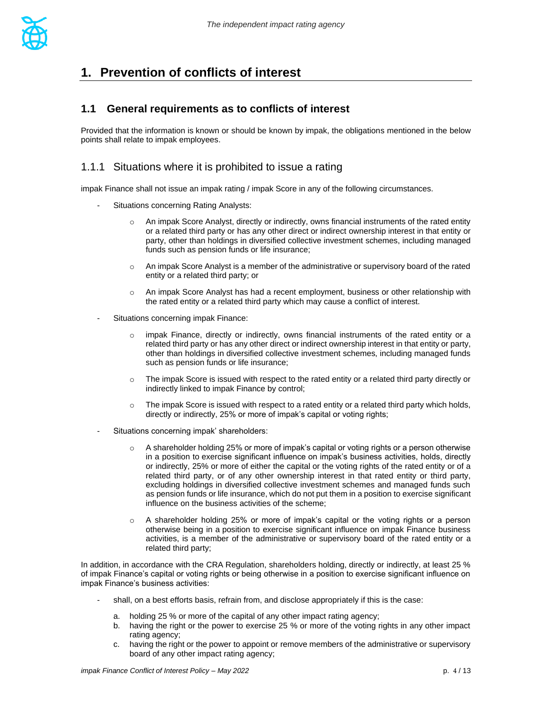

# <span id="page-3-0"></span>**1. Prevention of conflicts of interest**

#### <span id="page-3-1"></span>**1.1 General requirements as to conflicts of interest**

Provided that the information is known or should be known by impak, the obligations mentioned in the below points shall relate to impak employees.

#### <span id="page-3-2"></span>1.1.1 Situations where it is prohibited to issue a rating

impak Finance shall not issue an impak rating / impak Score in any of the following circumstances.

- Situations concerning Rating Analysts:
	- $\circ$  An impak Score Analyst, directly or indirectly, owns financial instruments of the rated entity or a related third party or has any other direct or indirect ownership interest in that entity or party, other than holdings in diversified collective investment schemes, including managed funds such as pension funds or life insurance;
	- $\circ$  An impak Score Analyst is a member of the administrative or supervisory board of the rated entity or a related third party; or
	- o An impak Score Analyst has had a recent employment, business or other relationship with the rated entity or a related third party which may cause a conflict of interest.
- Situations concerning impak Finance:
	- $\circ$  impak Finance, directly or indirectly, owns financial instruments of the rated entity or a related third party or has any other direct or indirect ownership interest in that entity or party, other than holdings in diversified collective investment schemes, including managed funds such as pension funds or life insurance;
	- $\circ$  The impak Score is issued with respect to the rated entity or a related third party directly or indirectly linked to impak Finance by control;
	- $\circ$  The impak Score is issued with respect to a rated entity or a related third party which holds, directly or indirectly, 25% or more of impak's capital or voting rights;
- Situations concerning impak' shareholders:
	- $\circ$  A shareholder holding 25% or more of impak's capital or voting rights or a person otherwise in a position to exercise significant influence on impak's business activities, holds, directly or indirectly, 25% or more of either the capital or the voting rights of the rated entity or of a related third party, or of any other ownership interest in that rated entity or third party, excluding holdings in diversified collective investment schemes and managed funds such as pension funds or life insurance, which do not put them in a position to exercise significant influence on the business activities of the scheme;
	- o A shareholder holding 25% or more of impak's capital or the voting rights or a person otherwise being in a position to exercise significant influence on impak Finance business activities, is a member of the administrative or supervisory board of the rated entity or a related third party;

In addition. in accordance with the CRA Regulation, shareholders holding, directly or indirectly, at least 25 % of impak Finance's capital or voting rights or being otherwise in a position to exercise significant influence on impak Finance's business activities:

- shall, on a best efforts basis, refrain from, and disclose appropriately if this is the case:
	- a. holding 25 % or more of the capital of any other impact rating agency;
	- b. having the right or the power to exercise 25 % or more of the voting rights in any other impact rating agency;
	- c. having the right or the power to appoint or remove members of the administrative or supervisory board of any other impact rating agency;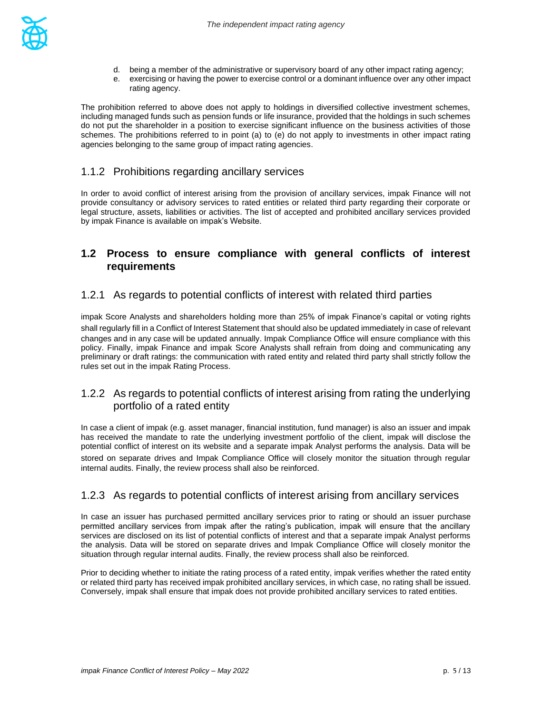

- d. being a member of the administrative or supervisory board of any other impact rating agency;
- e. exercising or having the power to exercise control or a dominant influence over any other impact rating agency.

The prohibition referred to above does not apply to holdings in diversified collective investment schemes, including managed funds such as pension funds or life insurance, provided that the holdings in such schemes do not put the shareholder in a position to exercise significant influence on the business activities of those schemes. The prohibitions referred to in point (a) to (e) do not apply to investments in other impact rating agencies belonging to the same group of impact rating agencies.

#### <span id="page-4-0"></span>1.1.2 Prohibitions regarding ancillary services

In order to avoid conflict of interest arising from the provision of ancillary services, impak Finance will not provide consultancy or advisory services to rated entities or related third party regarding their corporate or legal structure, assets, liabilities or activities. The list of accepted and prohibited ancillary services provided by impak Finance is available on impak's Website.

#### <span id="page-4-1"></span>**1.2 Process to ensure compliance with general conflicts of interest requirements**

#### <span id="page-4-2"></span>1.2.1 As regards to potential conflicts of interest with related third parties

impak Score Analysts and shareholders holding more than 25% of impak Finance's capital or voting rights shall regularly fill in a Conflict of Interest Statement that should also be updated immediately in case of relevant changes and in any case will be updated annually. Impak Compliance Office will ensure compliance with this policy. Finally, impak Finance and impak Score Analysts shall refrain from doing and communicating any preliminary or draft ratings: the communication with rated entity and related third party shall strictly follow the rules set out in the impak Rating Process.

#### <span id="page-4-3"></span>1.2.2 As regards to potential conflicts of interest arising from rating the underlying portfolio of a rated entity

In case a client of impak (e.g. asset manager, financial institution, fund manager) is also an issuer and impak has received the mandate to rate the underlying investment portfolio of the client, impak will disclose the potential conflict of interest on its website and a separate impak Analyst performs the analysis. Data will be stored on separate drives and Impak Compliance Office will closely monitor the situation through regular internal audits. Finally, the review process shall also be reinforced.

#### <span id="page-4-4"></span>1.2.3 As regards to potential conflicts of interest arising from ancillary services

In case an issuer has purchased permitted ancillary services prior to rating or should an issuer purchase permitted ancillary services from impak after the rating's publication, impak will ensure that the ancillary services are disclosed on its list of potential conflicts of interest and that a separate impak Analyst performs the analysis. Data will be stored on separate drives and Impak Compliance Office will closely monitor the situation through regular internal audits. Finally, the review process shall also be reinforced.

Prior to deciding whether to initiate the rating process of a rated entity, impak verifies whether the rated entity or related third party has received impak prohibited ancillary services, in which case, no rating shall be issued. Conversely, impak shall ensure that impak does not provide prohibited ancillary services to rated entities.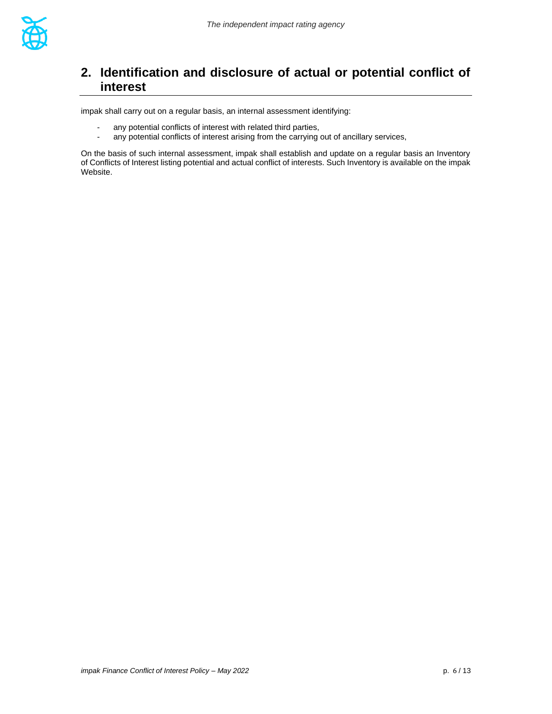

### <span id="page-5-0"></span>**2. Identification and disclosure of actual or potential conflict of interest**

impak shall carry out on a regular basis, an internal assessment identifying:

- any potential conflicts of interest with related third parties,
- any potential conflicts of interest arising from the carrying out of ancillary services,

On the basis of such internal assessment, impak shall establish and update on a regular basis an Inventory of Conflicts of Interest listing potential and actual conflict of interests. Such Inventory is available on the impak Website.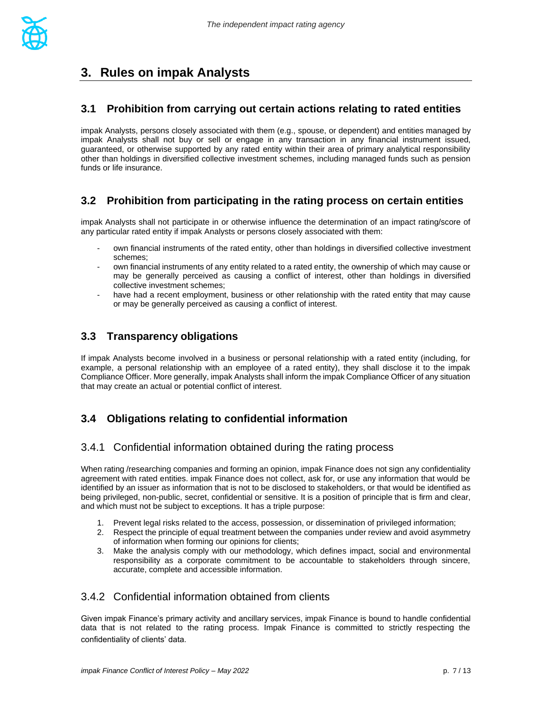

# <span id="page-6-0"></span>**3. Rules on impak Analysts**

#### <span id="page-6-1"></span>**3.1 Prohibition from carrying out certain actions relating to rated entities**

impak Analysts, persons closely associated with them (e.g., spouse, or dependent) and entities managed by impak Analysts shall not buy or sell or engage in any transaction in any financial instrument issued, guaranteed, or otherwise supported by any rated entity within their area of primary analytical responsibility other than holdings in diversified collective investment schemes, including managed funds such as pension funds or life insurance.

#### <span id="page-6-2"></span>**3.2 Prohibition from participating in the rating process on certain entities**

impak Analysts shall not participate in or otherwise influence the determination of an impact rating/score of any particular rated entity if impak Analysts or persons closely associated with them:

- own financial instruments of the rated entity, other than holdings in diversified collective investment schemes;
- own financial instruments of any entity related to a rated entity, the ownership of which may cause or may be generally perceived as causing a conflict of interest, other than holdings in diversified collective investment schemes;
- have had a recent employment, business or other relationship with the rated entity that may cause or may be generally perceived as causing a conflict of interest.

#### <span id="page-6-3"></span>**3.3 Transparency obligations**

If impak Analysts become involved in a business or personal relationship with a rated entity (including, for example, a personal relationship with an employee of a rated entity), they shall disclose it to the impak Compliance Officer. More generally, impak Analysts shall inform the impak Compliance Officer of any situation that may create an actual or potential conflict of interest.

#### <span id="page-6-4"></span>**3.4 Obligations relating to confidential information**

#### 3.4.1 Confidential information obtained during the rating process

When rating /researching companies and forming an opinion, impak Finance does not sign any confidentiality agreement with rated entities. impak Finance does not collect, ask for, or use any information that would be identified by an issuer as information that is not to be disclosed to stakeholders, or that would be identified as being privileged, non-public, secret, confidential or sensitive. It is a position of principle that is firm and clear, and which must not be subject to exceptions. It has a triple purpose:

- 1. Prevent legal risks related to the access, possession, or dissemination of privileged information;
- 2. Respect the principle of equal treatment between the companies under review and avoid asymmetry of information when forming our opinions for clients;
- 3. Make the analysis comply with our methodology, which defines impact, social and environmental responsibility as a corporate commitment to be accountable to stakeholders through sincere, accurate, complete and accessible information.

#### 3.4.2 Confidential information obtained from clients

Given impak Finance's primary activity and ancillary services, impak Finance is bound to handle confidential data that is not related to the rating process. Impak Finance is committed to strictly respecting the confidentiality of clients' data.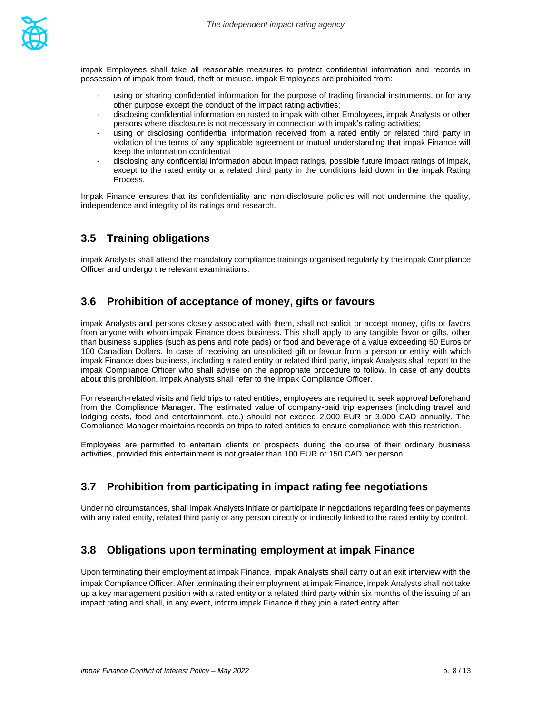

impak Employees shall take all reasonable measures to protect confidential information and records in possession of impak from fraud, theft or misuse. impak Employees are prohibited from:

- using or sharing confidential information for the purpose of trading financial instruments, or for any other purpose except the conduct of the impact rating activities;
- disclosing confidential information entrusted to impak with other Employees, impak Analysts or other persons where disclosure is not necessary in connection with impak's rating activities;
- using or disclosing confidential information received from a rated entity or related third party in violation of the terms of any applicable agreement or mutual understanding that impak Finance will keep the information confidential
- disclosing any confidential information about impact ratings, possible future impact ratings of impak, except to the rated entity or a related third party in the conditions laid down in the impak Rating Process.

Impak Finance ensures that its confidentiality and non-disclosure policies will not undermine the quality, independence and integrity of its ratings and research.

#### <span id="page-7-0"></span>**3.5 Training obligations**

<span id="page-7-1"></span>impak Analysts shall attend the mandatory compliance trainings organised regularly by the impak Compliance Officer and undergo the relevant examinations.

#### **3.6 Prohibition of acceptance of money, gifts or favours**

impak Analysts and persons closely associated with them, shall not solicit or accept money, gifts or favors from anyone with whom impak Finance does business. This shall apply to any tangible favor or gifts, other than business supplies (such as pens and note pads) or food and beverage of a value exceeding 50 Euros or 100 Canadian Dollars. In case of receiving an unsolicited gift or favour from a person or entity with which impak Finance does business, including a rated entity or related third party, impak Analysts shall report to the impak Compliance Officer who shall advise on the appropriate procedure to follow. In case of any doubts about this prohibition, impak Analysts shall refer to the impak Compliance Officer.

For research-related visits and field trips to rated entities, employees are required to seek approval beforehand from the Compliance Manager. The estimated value of company-paid trip expenses (including travel and lodging costs, food and entertainment, etc.) should not exceed 2,000 EUR or 3,000 CAD annually. The Compliance Manager maintains records on trips to rated entities to ensure compliance with this restriction.

<span id="page-7-2"></span>Employees are permitted to entertain clients or prospects during the course of their ordinary business activities, provided this entertainment is not greater than 100 EUR or 150 CAD per person.

#### **3.7 Prohibition from participating in impact rating fee negotiations**

<span id="page-7-3"></span>Under no circumstances, shall impak Analysts initiate or participate in negotiations regarding fees or payments with any rated entity, related third party or any person directly or indirectly linked to the rated entity by control.

#### **3.8 Obligations upon terminating employment at impak Finance**

Upon terminating their employment at impak Finance, impak Analysts shall carry out an exit interview with the impak Compliance Officer. After terminating their employment at impak Finance, impak Analysts shall not take up a key management position with a rated entity or a related third party within six months of the issuing of an impact rating and shall, in any event, inform impak Finance if they join a rated entity after.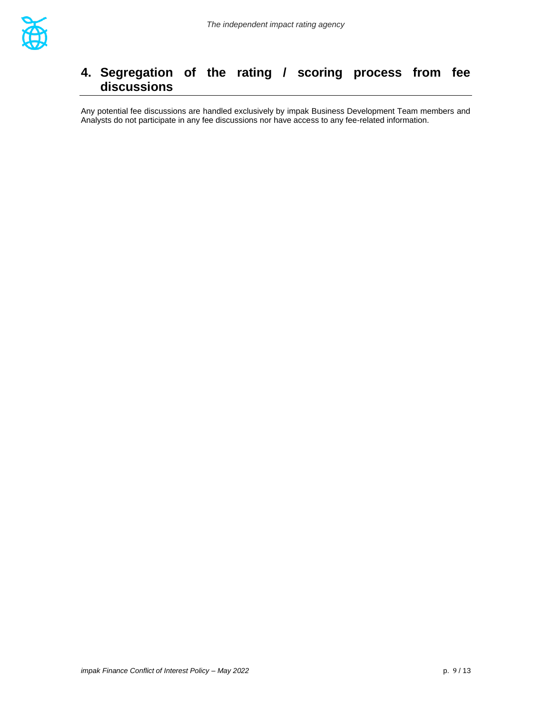

# <span id="page-8-0"></span>**4. Segregation of the rating / scoring process from fee discussions**

Any potential fee discussions are handled exclusively by impak Business Development Team members and Analysts do not participate in any fee discussions nor have access to any fee-related information.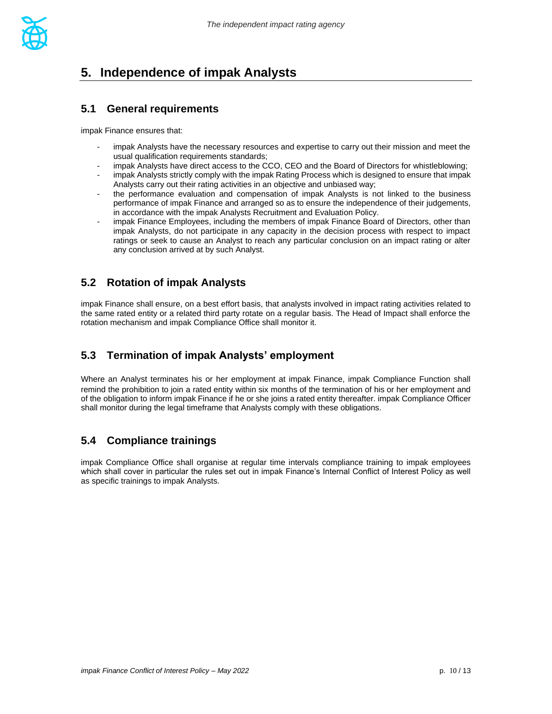

# <span id="page-9-0"></span>**5. Independence of impak Analysts**

#### <span id="page-9-1"></span>**5.1 General requirements**

impak Finance ensures that:

- impak Analysts have the necessary resources and expertise to carry out their mission and meet the usual qualification requirements standards;
- impak Analysts have direct access to the CCO, CEO and the Board of Directors for whistleblowing;
- impak Analysts strictly comply with the impak Rating Process which is designed to ensure that impak Analysts carry out their rating activities in an objective and unbiased way;
- the performance evaluation and compensation of impak Analysts is not linked to the business performance of impak Finance and arranged so as to ensure the independence of their judgements, in accordance with the impak Analysts Recruitment and Evaluation Policy.
- impak Finance Employees, including the members of impak Finance Board of Directors, other than impak Analysts, do not participate in any capacity in the decision process with respect to impact ratings or seek to cause an Analyst to reach any particular conclusion on an impact rating or alter any conclusion arrived at by such Analyst.

#### <span id="page-9-2"></span>**5.2 Rotation of impak Analysts**

impak Finance shall ensure, on a best effort basis, that analysts involved in impact rating activities related to the same rated entity or a related third party rotate on a regular basis. The Head of Impact shall enforce the rotation mechanism and impak Compliance Office shall monitor it.

#### **5.3 Termination of impak Analysts' employment**

Where an Analyst terminates his or her employment at impak Finance, impak Compliance Function shall remind the prohibition to join a rated entity within six months of the termination of his or her employment and of the obligation to inform impak Finance if he or she joins a rated entity thereafter. impak Compliance Officer shall monitor during the legal timeframe that Analysts comply with these obligations.

#### <span id="page-9-3"></span>**5.4 Compliance trainings**

impak Compliance Office shall organise at regular time intervals compliance training to impak employees which shall cover in particular the rules set out in impak Finance's Internal Conflict of Interest Policy as well as specific trainings to impak Analysts.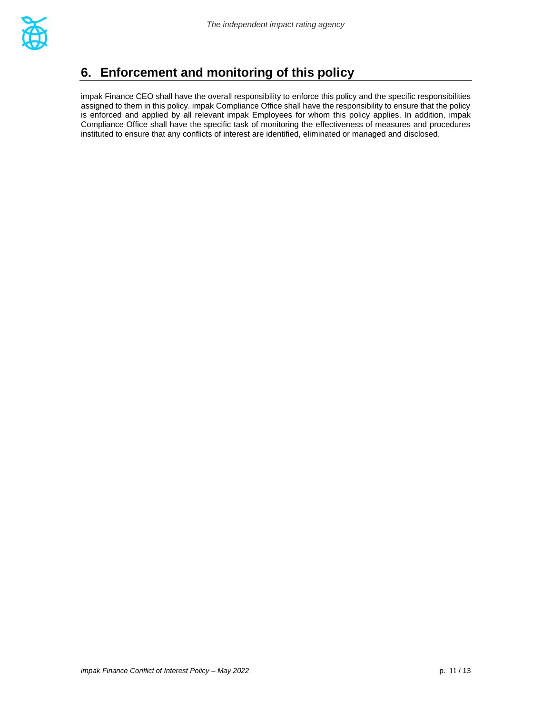

# <span id="page-10-0"></span>**6. Enforcement and monitoring of this policy**

impak Finance CEO shall have the overall responsibility to enforce this policy and the specific responsibilities assigned to them in this policy. impak Compliance Office shall have the responsibility to ensure that the policy is enforced and applied by all relevant impak Employees for whom this policy applies. In addition, impak Compliance Office shall have the specific task of monitoring the effectiveness of measures and procedures instituted to ensure that any conflicts of interest are identified, eliminated or managed and disclosed.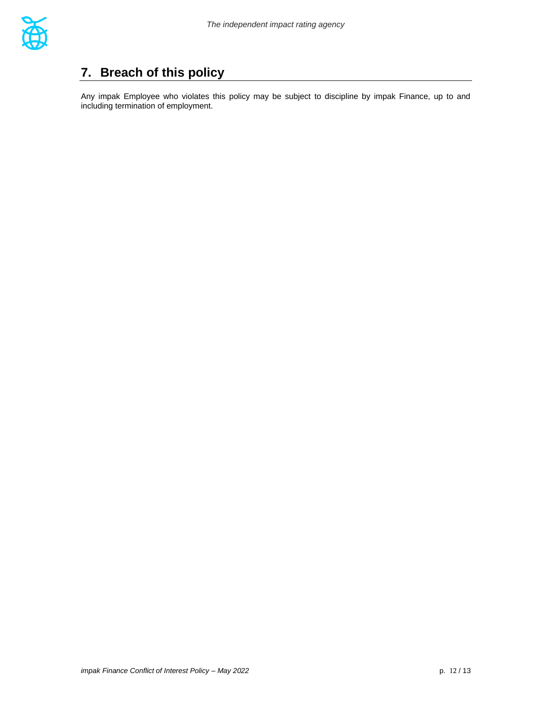

# <span id="page-11-0"></span>**7. Breach of this policy**

Any impak Employee who violates this policy may be subject to discipline by impak Finance, up to and including termination of employment.